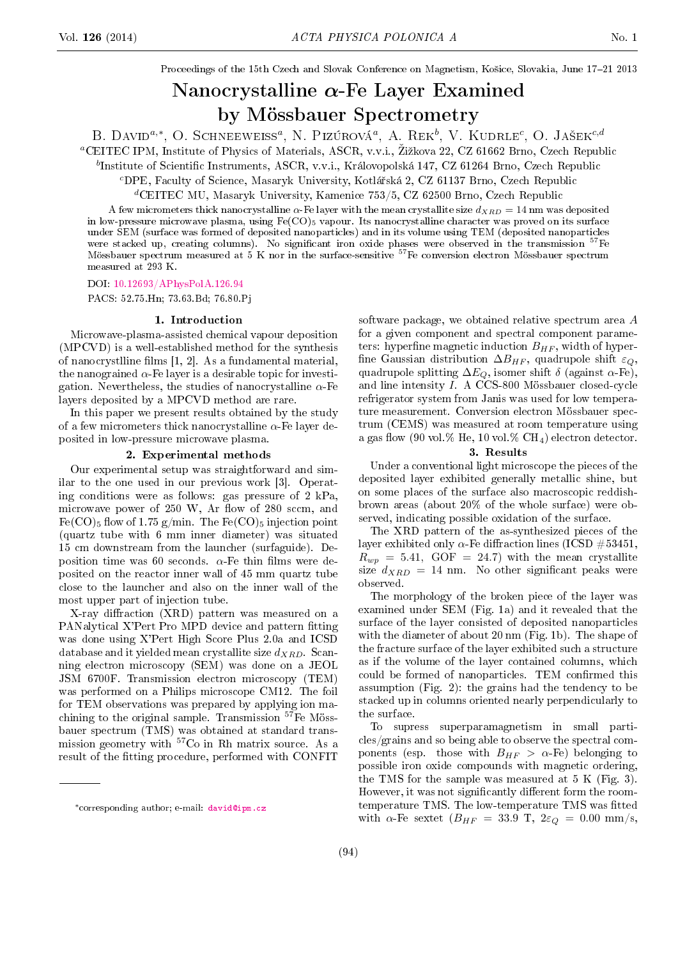Proceedings of the 15th Czech and Slovak Conference on Magnetism, Košice, Slovakia, June 17-21 2013

# Nanocrystalline  $\alpha$ -Fe Layer Examined by Mössbauer Spectrometry

B. DAVID<sup>a,\*</sup>, O. SCHNEEWEISS<sup>a</sup>, N. PIZÚROVÁ<sup>a</sup>, A. REK<sup>b</sup>, V. KUDRLE<sup>c</sup>, O. JAŠEK<sup>c,d</sup>

<sup>a</sup>CEITEC IPM, Institute of Physics of Materials, ASCR, v.v.i., Žižkova 22, CZ 61662 Brno, Czech Republic

 $^b$ Institute of Scientific Instruments, ASCR, v.v.i., Královopolská 147, CZ 61264 Brno, Czech Republic

<sup>c</sup>DPE, Faculty of Science, Masaryk University, Kotlá°ská 2, CZ 61137 Brno, Czech Republic

 ${}^d$ CEITEC MU, Masaryk University, Kamenice 753/5, CZ 62500 Brno, Czech Republic

A few micrometers thick nanocrystalline  $\alpha$ -Fe layer with the mean crystallite size  $d_{XBD} = 14$  nm was deposited in low-pressure microwave plasma, using  $Fe(CO)_5$  vapour. Its nanocrystalline character was proved on its surface under SEM (surface was formed of deposited nanoparticles) and in its volume using TEM (deposited nanoparticles were stacked up, creating columns). No significant iron oxide phases were observed in the transmission <sup>57</sup>Fe Mössbauer spectrum measured at 5 K nor in the surface-sensitive <sup>57</sup>Fe conversion electron Mössbauer spectrum measured at 293 K.

DOI: [10.12693/APhysPolA.126.94](http://dx.doi.org/10.12693/APhysPolA.126.94)

PACS: 52.75.Hn; 73.63.Bd; 76.80.Pj

#### 1. Introduction

Microwave-plasma-assisted chemical vapour deposition (MPCVD) is a well-established method for the synthesis of nanocrystlline films  $[1, 2]$ . As a fundamental material, the nanograined  $\alpha$ -Fe layer is a desirable topic for investigation. Nevertheless, the studies of nanocrystalline  $\alpha$ -Fe layers deposited by a MPCVD method are rare.

In this paper we present results obtained by the study of a few micrometers thick nanocrystalline  $\alpha$ -Fe layer deposited in low-pressure microwave plasma.

## 2. Experimental methods

Our experimental setup was straightforward and similar to the one used in our previous work [3]. Operating conditions were as follows: gas pressure of 2 kPa, microwave power of  $250$  W, Ar flow of  $280$  sccm, and  $Fe(CO)_5$  flow of 1.75 g/min. The  $Fe(CO)_5$  injection point (quartz tube with 6 mm inner diameter) was situated 15 cm downstream from the launcher (surfaguide). Deposition time was 60 seconds.  $\alpha$ -Fe thin films were deposited on the reactor inner wall of 45 mm quartz tube close to the launcher and also on the inner wall of the most upper part of injection tube.

X-ray diffraction (XRD) pattern was measured on a PANalytical X'Pert Pro MPD device and pattern fitting was done using X'Pert High Score Plus 2.0a and ICSD database and it yielded mean crystallite size  $d_{XRD}$ . Scanning electron microscopy (SEM) was done on a JEOL JSM 6700F. Transmission electron microscopy (TEM) was performed on a Philips microscope CM12. The foil for TEM observations was prepared by applying ion machining to the original sample. Transmission <sup>57</sup>Fe Mössbauer spectrum (TMS) was obtained at standard transmission geometry with <sup>57</sup>Co in Rh matrix source. As a result of the fitting procedure, performed with CONFIT software package, we obtained relative spectrum area A for a given component and spectral component parameters: hyperfine magnetic induction  $B_{HF}$ , width of hyperfine Gaussian distribution  $\Delta B_{HF}$ , quadrupole shift  $\varepsilon_Q$ , quadrupole splitting  $\Delta E_Q$ , isomer shift  $\delta$  (against  $\alpha$ -Fe), and line intensity I. A CCS-800 Mössbauer closed-cycle refrigerator system from Janis was used for low temperature measurement. Conversion electron Mössbauer spectrum (CEMS) was measured at room temperature using a gas flow (90 vol.% He, 10 vol.%  $CH<sub>4</sub>$ ) electron detector.

### 3. Results

Under a conventional light microscope the pieces of the deposited layer exhibited generally metallic shine, but on some places of the surface also macroscopic reddishbrown areas (about 20% of the whole surface) were observed, indicating possible oxidation of the surface.

The XRD pattern of the as-synthesized pieces of the layer exhibited only  $\alpha$ -Fe diffraction lines (ICSD #53451,  $R_{wp} = 5.41, GOF = 24.7$  with the mean crystallite size  $d_{XRD} = 14$  nm. No other significant peaks were observed.

The morphology of the broken piece of the layer was examined under SEM (Fig. 1a) and it revealed that the surface of the layer consisted of deposited nanoparticles with the diameter of about 20 nm (Fig. 1b). The shape of the fracture surface of the layer exhibited such a structure as if the volume of the layer contained columns, which could be formed of nanoparticles. TEM confirmed this assumption (Fig. 2): the grains had the tendency to be stacked up in columns oriented nearly perpendicularly to the surface.

To supress superparamagnetism in small particles/grains and so being able to observe the spectral components (esp. those with  $B_{HF} > \alpha$ -Fe) belonging to possible iron oxide compounds with magnetic ordering, the TMS for the sample was measured at 5 K (Fig. 3). However, it was not significantly different form the roomtemperature TMS. The low-temperature TMS was fitted with  $\alpha$ -Fe sextet  $(B_{HF} = 33.9 \text{ T}, 2\varepsilon_{Q} = 0.00 \text{ mm/s},$ 

<sup>∗</sup>corresponding author; e-mail: [david@ipm.cz](mailto:david@ipm.cz)